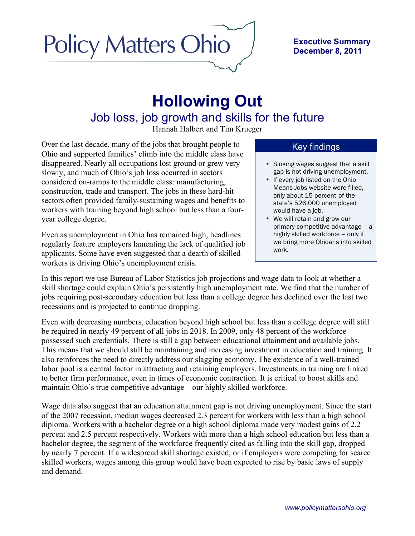# **Policy Matters Ohio**

#### **Executive Summary December 8, 2011**

# **Hollowing Out** Job loss, job growth and skills for the future

Hannah Halbert and Tim Krueger

Over the last decade, many of the jobs that brought people to Ohio and supported families' climb into the middle class have disappeared. Nearly all occupations lost ground or grew very slowly, and much of Ohio's job loss occurred in sectors considered on-ramps to the middle class: manufacturing, construction, trade and transport. The jobs in these hard-hit sectors often provided family-sustaining wages and benefits to workers with training beyond high school but less than a fouryear college degree.

Even as unemployment in Ohio has remained high, headlines regularly feature employers lamenting the lack of qualified job applicants. Some have even suggested that a dearth of skilled workers is driving Ohio's unemployment crisis.

# Key findings

- Sinking wages suggest that a skill gap is not driving unemployment.
- If every job listed on the Ohio Means Jobs website were filled, only about 15 percent of the state's 526,000 unemployed would have a job.
- We will retain and grow our primary competitive advantage – a highly skilled workforce – only if we bring more Ohioans into skilled work.

In this report we use Bureau of Labor Statistics job projections and wage data to look at whether a skill shortage could explain Ohio's persistently high unemployment rate. We find that the number of jobs requiring post-secondary education but less than a college degree has declined over the last two recessions and is projected to continue dropping.

Even with decreasing numbers, education beyond high school but less than a college degree will still be required in nearly 49 percent of all jobs in 2018. In 2009, only 48 percent of the workforce possessed such credentials. There is still a gap between educational attainment and available jobs. This means that we should still be maintaining and increasing investment in education and training. It also reinforces the need to directly address our slagging economy. The existence of a well-trained labor pool is a central factor in attracting and retaining employers. Investments in training are linked to better firm performance, even in times of economic contraction. It is critical to boost skills and maintain Ohio's true competitive advantage – our highly skilled workforce.

Wage data also suggest that an education attainment gap is not driving unemployment. Since the start of the 2007 recession, median wages decreased 2.3 percent for workers with less than a high school diploma. Workers with a bachelor degree or a high school diploma made very modest gains of 2.2 percent and 2.5 percent respectively. Workers with more than a high school education but less than a bachelor degree, the segment of the workforce frequently cited as falling into the skill gap, dropped by nearly 7 percent. If a widespread skill shortage existed, or if employers were competing for scarce skilled workers, wages among this group would have been expected to rise by basic laws of supply and demand.